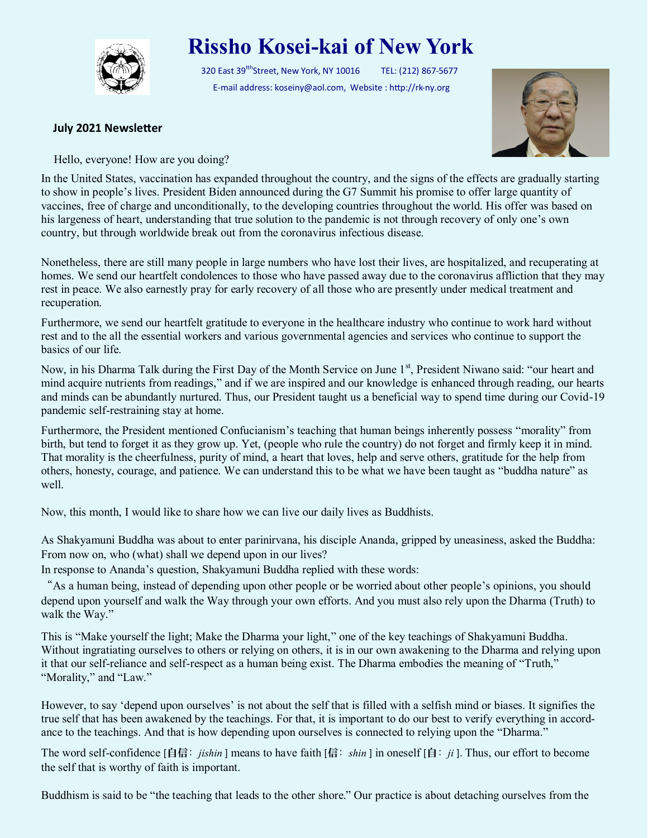

## **Rissho Kosei-kai of New York**

320 East 39<sup>tth</sup>Street, New York, NY 10016 TEL: (212) 867-5677 E-mail address: koseiny@aol.com, Website : http://rk-ny.org



## **July 2021 Newsletter**

Hello, everyone! How are you doing?

In the United States, vaccination has expanded throughout the country, and the signs of the effects are gradually starting to show in people's lives. President Biden announced during the G7 Summit his promise to offer large quantity of vaccines, free of charge and unconditionally, to the developing countries throughout the world. His offer was based on his largeness of heart, understanding that true solution to the pandemic is not through recovery of only one's own country, but through worldwide break out from the coronavirus infectious disease.

Nonetheless, there are still many people in large numbers who have lost their lives, are hospitalized, and recuperating at homes. We send our heartfelt condolences to those who have passed away due to the coronavirus affliction that they may rest in peace. We also earnestly pray for early recovery of all those who are presently under medical treatment and recuperation.

Furthermore, we send our heartfelt gratitude to everyone in the healthcare industry who continue to work hard without rest and to the all the essential workers and various governmental agencies and services who continue to support the basics of our life.

Now, in his Dharma Talk during the First Day of the Month Service on June 1<sup>st</sup>, President Niwano said: "our heart and mind acquire nutrients from readings," and if we are inspired and our knowledge is enhanced through reading, our hearts and minds can be abundantly nurtured. Thus, our President taught us a beneficial way to spend time during our Covid-19 pandemic self-restraining stay at home.

Furthermore, the President mentioned Confucianism's teaching that human beings inherently possess "morality" from birth, but tend to forget it as they grow up. Yet, (people who rule the country) do not forget and firmly keep it in mind. That morality is the cheerfulness, purity of mind, a heart that loves, help and serve others, gratitude for the help from others, honesty, courage, and patience. We can understand this to be what we have been taught as "buddha nature" as well.

Now, this month, I would like to share how we can live our daily lives as Buddhists.

As Shakyamuni Buddha was about to enter parinirvana, his disciple Ananda, gripped by uneasiness, asked the Buddha: From now on, who (what) shall we depend upon in our lives?

In response to Ananda's question, Shakyamuni Buddha replied with these words:

"As a human being, instead of depending upon other people or be worried about other people's opinions, you should depend upon yourself and walk the Way through your own efforts. And you must also rely upon the Dharma (Truth) to walk the Way."

This is "Make yourself the light; Make the Dharma your light," one of the key teachings of Shakyamuni Buddha. Without ingratiating ourselves to others or relying on others, it is in our own awakening to the Dharma and relying upon it that our self-reliance and self-respect as a human being exist. The Dharma embodies the meaning of "Truth," "Morality," and "Law."

However, to say 'depend upon ourselves' is not about the self that is filled with a selfish mind or biases. It signifies the true self that has been awakened by the teachings. For that, it is important to do our best to verify everything in accordance to the teachings. And that is how depending upon ourselves is connected to relying upon the "Dharma."

The word self-confidence [自信: *jishin* ] means to have faith [信: *shin* ] in oneself [自: *ji* ]. Thus, our effort to become the self that is worthy of faith is important.

Buddhism is said to be "the teaching that leads to the other shore." Our practice is about detaching ourselves from the